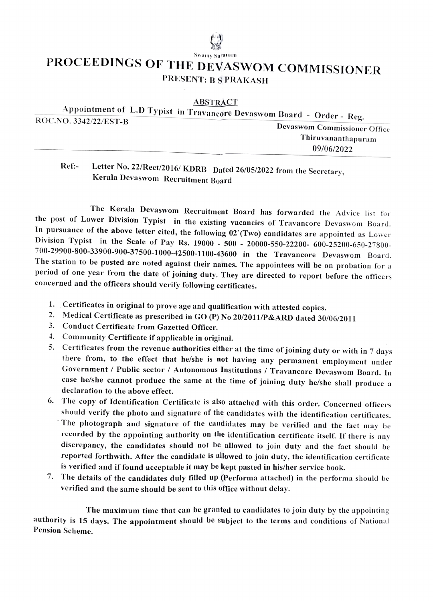## PROCEEDINGS OF THE DEVASWOM COMMISSIONER PRESENT: B S PRAKASH

 $\triangle$ BSTRACT

| Appointment of L.D Typist in Travancore Devaswom Board - Order - Reg. |                                     |
|-----------------------------------------------------------------------|-------------------------------------|
| ROC.NO. 3342/22/EST-B                                                 | <b>Devaswom Commissioner Office</b> |
|                                                                       | Thiruvananthapuram                  |
|                                                                       | 09/06/2022                          |
|                                                                       |                                     |

## Ref:- Letter No. 22/Rect/2016/ KDRB Dated 26/05/2022 from the Secretary,<br>Kerala Devaswom Recruitment Board

The Kerala Devaswom Recruitment Board has forwarded the Advice list for the post of Lower Division Typist in the existing vacancies of Travancore Devaswom Board. In pursuance of the above letter cited, the following 02 (Two) candidates are appointed as Lower Division Typist in the Scale of Pay Rs. 19000 - 500 - 20000-550-22200- 600-25200-650-27800-700-29900-800-33900-900-37500-1000-42500-1100-43600 in the Travancore Devaswom Board. The station to be posted are noted against their names. The appointees will be on probation for a period of one year from the date of joining duty. They are directed to report before the officers concerned and the officers should verify following certificates.

- 
- 1. Certificates in original to prove age and qualification with attested copies. 2. Medical Certificate as prescribed in GO (P) No 20/2011/P&ARD dated 30/06/2011
- 3. Conduct Certificate from Gazetted Officer.
- 4. Community Certificate if applicable in original.
- 5. Certificates from the revenue authorities either at the time of joining duty or with in 7 days there from, to the effect that he/she is not having any permanent employment under Government / Public sector / Autonomous Institutions / Travancore Devaswom Board. In case he/she cannot produce the same at the time of joining duty he/she shall produce a declaration to the above effect.
- 6. The copy of Identification Certificate is also attached with this order. Concerned officers should verify the photo and signature of the candidates with the identification certificates. The photograph and signature of the candidates may be verificd and the fact may be recorded by the appointing authority on the identification certificate itself. If there is any diserepaney, the eandidates should not be allowed to join duty and the fact should be reported forthwith. After the candidate is allowed to join duty, the identitication certificate is verified and if found acceptable it may be kept pasted in his/her service book.
- 7. The details of the candidates duly filled up (Performa attached) in the performa should be verified and the same should be sent to this office without delay.

The maximum time that can be granted to candidates to join duty by the appointing authority is 15 days. The appointment should be subject to the terms and conditions of National Pension Scheme.